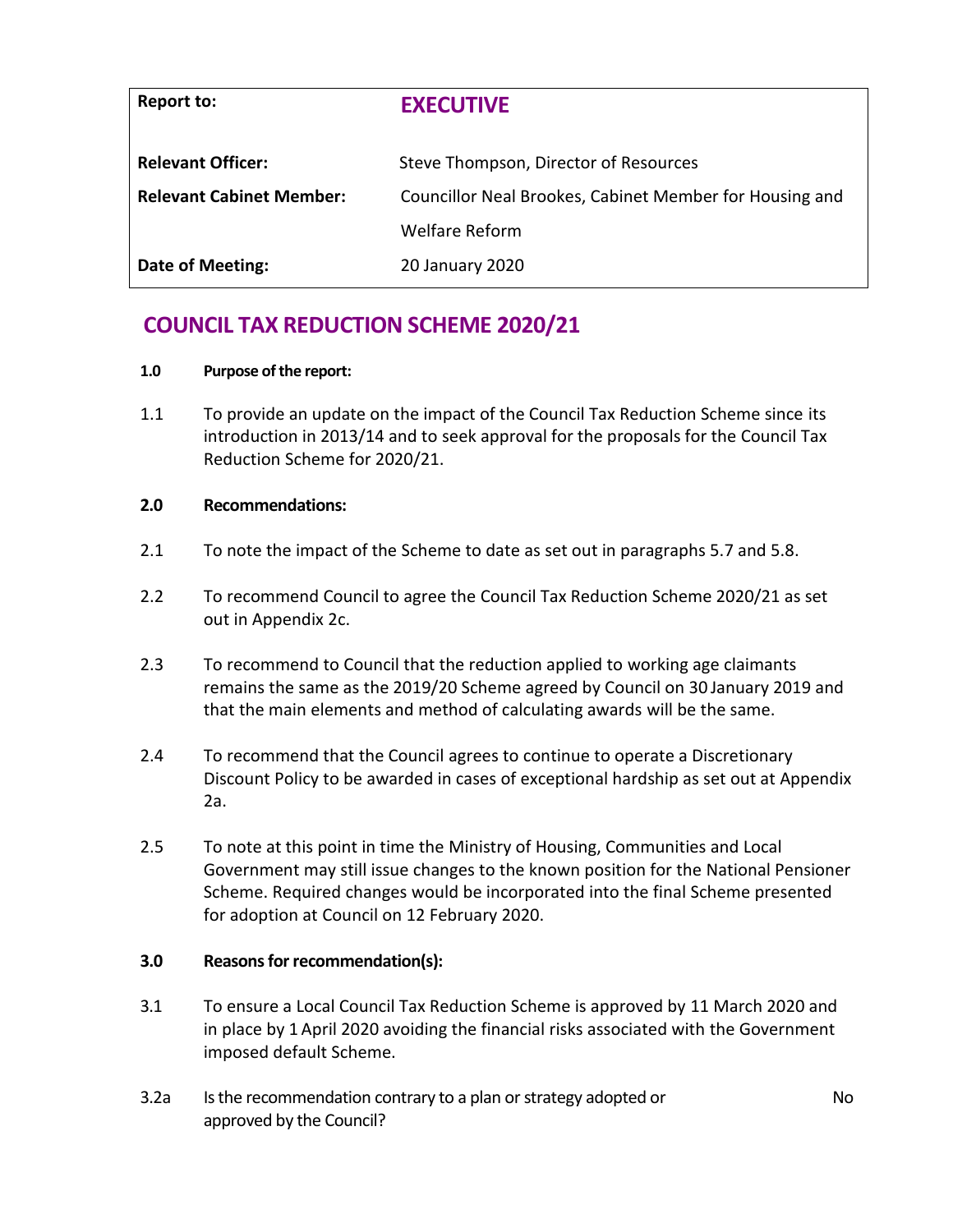| Report to:                      | <b>EXECUTIVE</b>                                        |
|---------------------------------|---------------------------------------------------------|
| <b>Relevant Officer:</b>        | Steve Thompson, Director of Resources                   |
| <b>Relevant Cabinet Member:</b> | Councillor Neal Brookes, Cabinet Member for Housing and |
|                                 | Welfare Reform                                          |
| Date of Meeting:                | 20 January 2020                                         |

# **COUNCIL TAX REDUCTION SCHEME 2020/21**

#### **1.0 Purpose of the report:**

1.1 To provide an update on the impact of the Council Tax Reduction Scheme since its introduction in 2013/14 and to seek approval for the proposals for the Council Tax Reduction Scheme for 2020/21.

## **2.0 Recommendations:**

- 2.1 To note the impact of the Scheme to date as set out in paragraphs 5.7 and 5.8.
- 2.2 To recommend Council to agree the Council Tax Reduction Scheme 2020/21 as set out in Appendix 2c.
- 2.3 To recommend to Council that the reduction applied to working age claimants remains the same as the 2019/20 Scheme agreed by Council on 30 January 2019 and that the main elements and method of calculating awards will be the same.
- 2.4 To recommend that the Council agrees to continue to operate a Discretionary Discount Policy to be awarded in cases of exceptional hardship as set out at Appendix 2a.
- 2.5 To note at this point in time the Ministry of Housing, Communities and Local Government may still issue changes to the known position for the National Pensioner Scheme. Required changes would be incorporated into the final Scheme presented for adoption at Council on 12 February 2020.

## **3.0 Reasons for recommendation(s):**

- 3.1 To ensure a Local Council Tax Reduction Scheme is approved by 11 March 2020 and in place by 1 April 2020 avoiding the financial risks associated with the Government imposed default Scheme.
- 3.2a Is the recommendation contrary to a plan or strategy adopted or approved by the Council?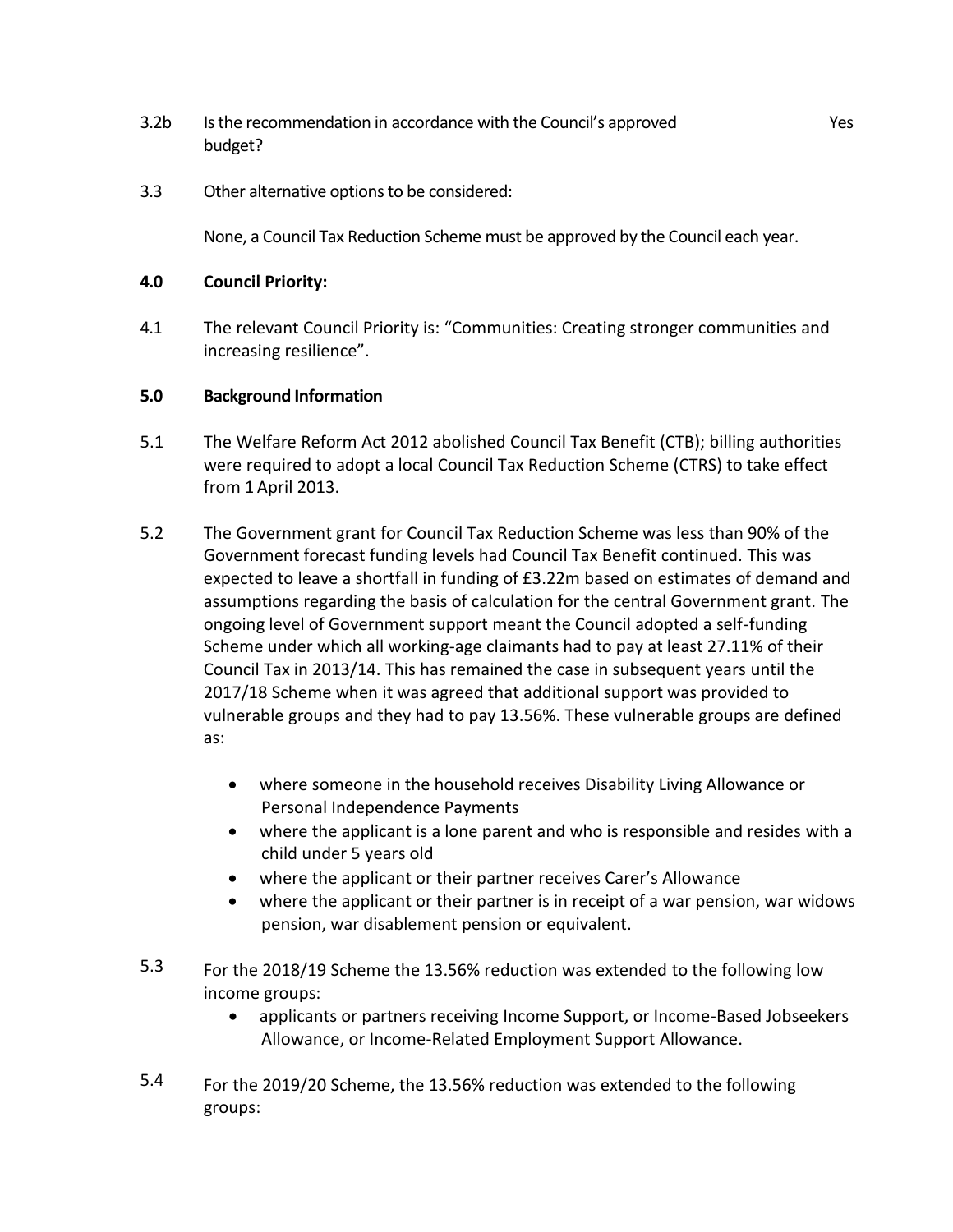- 3.2b Is the recommendation in accordance with the Council's approved budget?
- 3.3 Other alternative options to be considered:

None, a Council Tax Reduction Scheme must be approved by the Council each year.

## **4.0 Council Priority:**

4.1 The relevant Council Priority is: "Communities: Creating stronger communities and increasing resilience".

## **5.0 Background Information**

- 5.1 The Welfare Reform Act 2012 abolished Council Tax Benefit (CTB); billing authorities were required to adopt a local Council Tax Reduction Scheme (CTRS) to take effect from 1 April 2013.
- 5.2 The Government grant for Council Tax Reduction Scheme was less than 90% of the Government forecast funding levels had Council Tax Benefit continued. This was expected to leave a shortfall in funding of £3.22m based on estimates of demand and assumptions regarding the basis of calculation for the central Government grant. The ongoing level of Government support meant the Council adopted a self-funding Scheme under which all working-age claimants had to pay at least 27.11% of their Council Tax in 2013/14. This has remained the case in subsequent years until the 2017/18 Scheme when it was agreed that additional support was provided to vulnerable groups and they had to pay 13.56%. These vulnerable groups are defined as:
	- where someone in the household receives Disability Living Allowance or Personal Independence Payments
	- where the applicant is a lone parent and who is responsible and resides with a child under 5 years old
	- where the applicant or their partner receives Carer's Allowance
	- where the applicant or their partner is in receipt of a war pension, war widows pension, war disablement pension or equivalent.
- 5.3 For the 2018/19 Scheme the 13.56% reduction was extended to the following low income groups:
	- applicants or partners receiving Income Support, or Income-Based Jobseekers Allowance, or Income-Related Employment Support Allowance.
- 5.4 For the 2019/20 Scheme, the 13.56% reduction was extended to the following groups: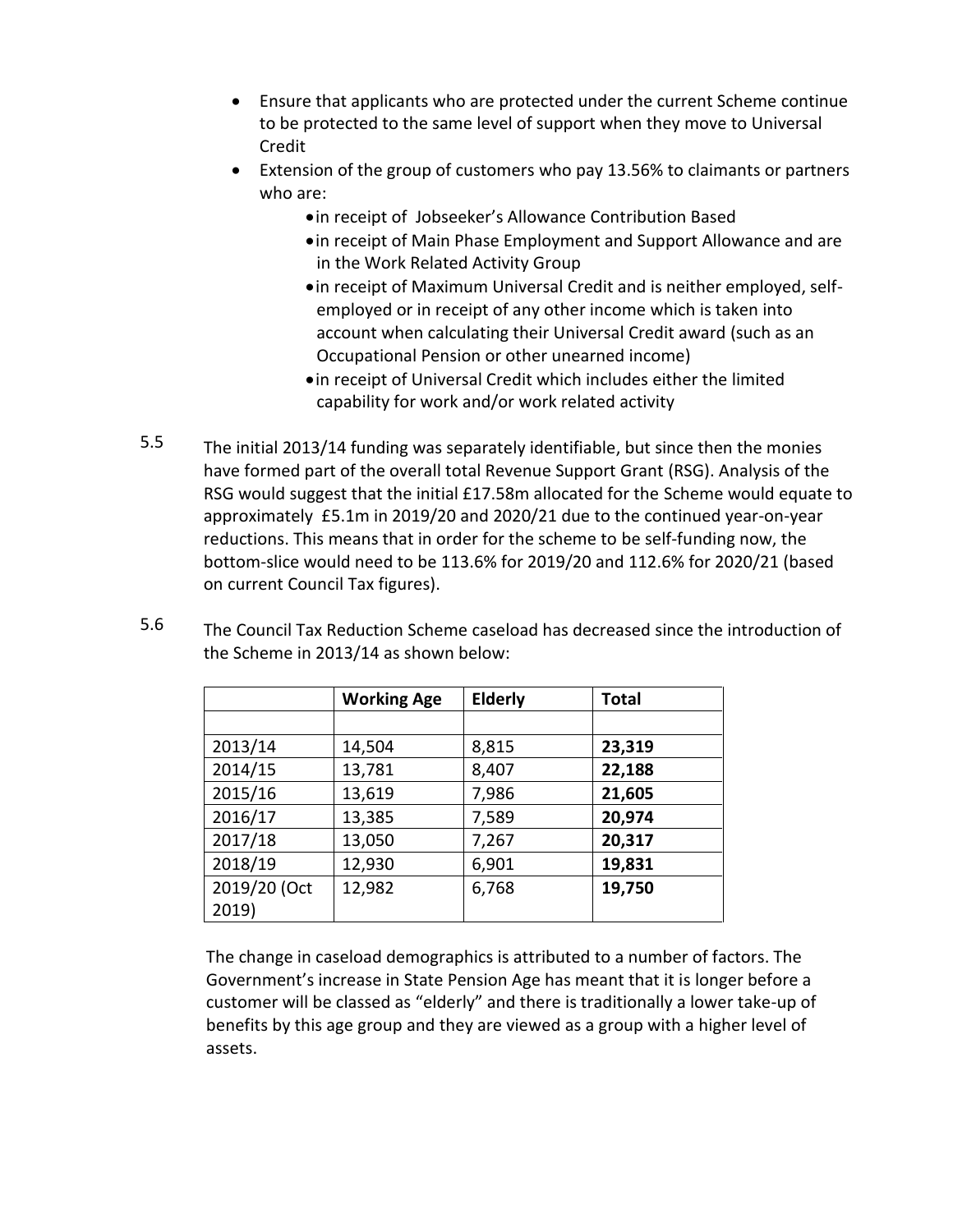- Ensure that applicants who are protected under the current Scheme continue to be protected to the same level of support when they move to Universal Credit
- Extension of the group of customers who pay 13.56% to claimants or partners who are:
	- in receipt of Jobseeker's Allowance Contribution Based
	- in receipt of Main Phase Employment and Support Allowance and are in the Work Related Activity Group
	- in receipt of Maximum Universal Credit and is neither employed, selfemployed or in receipt of any other income which is taken into account when calculating their Universal Credit award (such as an Occupational Pension or other unearned income)
	- in receipt of Universal Credit which includes either the limited capability for work and/or work related activity
- 5.5 The initial 2013/14 funding was separately identifiable, but since then the monies have formed part of the overall total Revenue Support Grant (RSG). Analysis of the RSG would suggest that the initial £17.58m allocated for the Scheme would equate to approximately £5.1m in 2019/20 and 2020/21 due to the continued year-on-year reductions. This means that in order for the scheme to be self-funding now, the bottom-slice would need to be 113.6% for 2019/20 and 112.6% for 2020/21 (based on current Council Tax figures).

| 5.6 | The Council Tax Reduction Scheme caseload has decreased since the introduction of |
|-----|-----------------------------------------------------------------------------------|
|     | the Scheme in 2013/14 as shown below:                                             |

|              | <b>Working Age</b> | <b>Elderly</b> | <b>Total</b> |
|--------------|--------------------|----------------|--------------|
|              |                    |                |              |
| 2013/14      | 14,504             | 8,815          | 23,319       |
| 2014/15      | 13,781             | 8,407          | 22,188       |
| 2015/16      | 13,619             | 7,986          | 21,605       |
| 2016/17      | 13,385             | 7,589          | 20,974       |
| 2017/18      | 13,050             | 7,267          | 20,317       |
| 2018/19      | 12,930             | 6,901          | 19,831       |
| 2019/20 (Oct | 12,982             | 6,768          | 19,750       |
| 2019)        |                    |                |              |

The change in caseload demographics is attributed to a number of factors. The Government's increase in State Pension Age has meant that it is longer before a customer will be classed as "elderly" and there is traditionally a lower take-up of benefits by this age group and they are viewed as a group with a higher level of assets.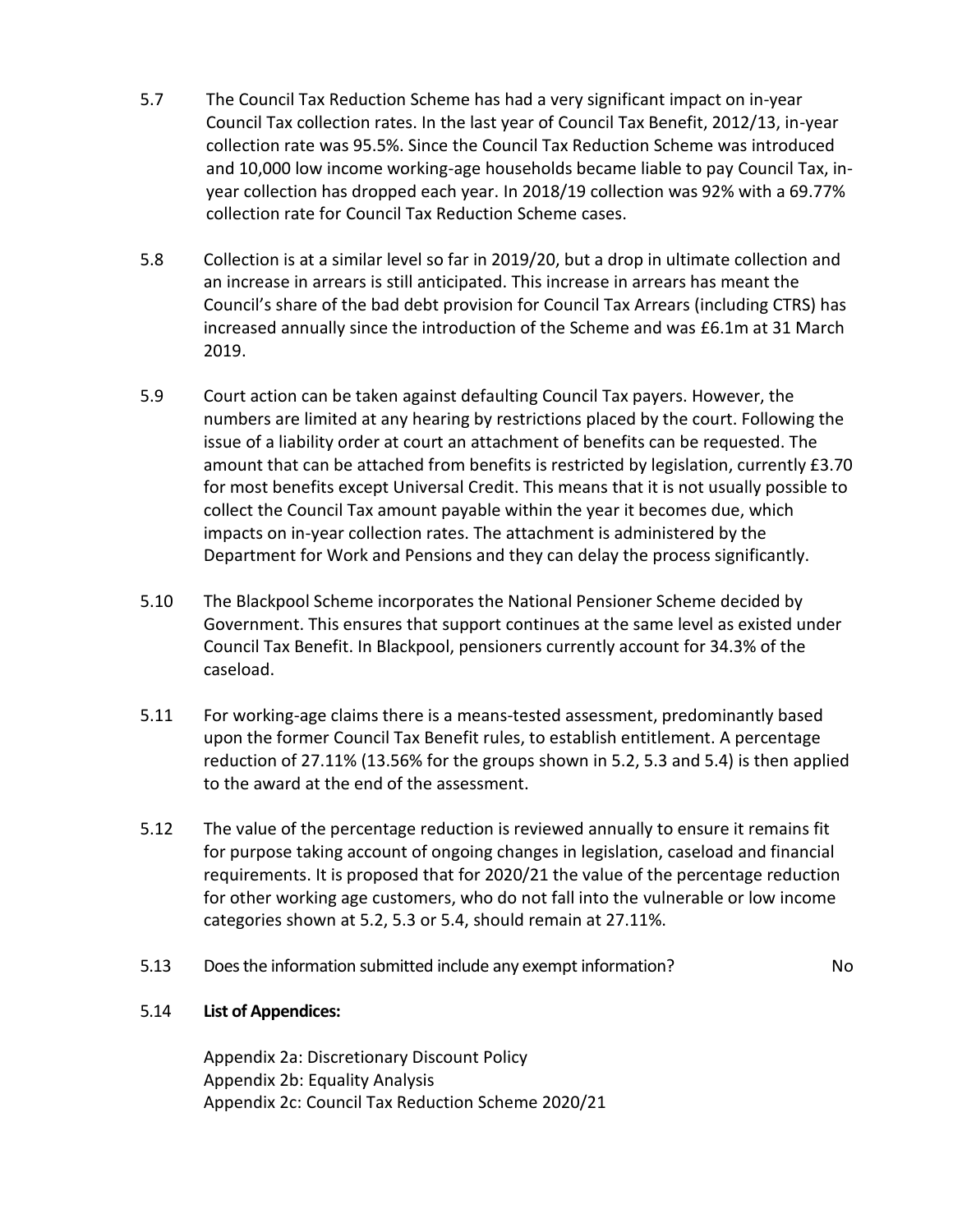- 5.7 The Council Tax Reduction Scheme has had a very significant impact on in-year Council Tax collection rates. In the last year of Council Tax Benefit, 2012/13, in-year collection rate was 95.5%. Since the Council Tax Reduction Scheme was introduced and 10,000 low income working-age households became liable to pay Council Tax, inyear collection has dropped each year. In 2018/19 collection was 92% with a 69.77% collection rate for Council Tax Reduction Scheme cases.
- 5.8 Collection is at a similar level so far in 2019/20, but a drop in ultimate collection and an increase in arrears is still anticipated. This increase in arrears has meant the Council's share of the bad debt provision for Council Tax Arrears (including CTRS) has increased annually since the introduction of the Scheme and was £6.1m at 31 March 2019.
- 5.9 Court action can be taken against defaulting Council Tax payers. However, the numbers are limited at any hearing by restrictions placed by the court. Following the issue of a liability order at court an attachment of benefits can be requested. The amount that can be attached from benefits is restricted by legislation, currently £3.70 for most benefits except Universal Credit. This means that it is not usually possible to collect the Council Tax amount payable within the year it becomes due, which impacts on in-year collection rates. The attachment is administered by the Department for Work and Pensions and they can delay the process significantly.
- 5.10 The Blackpool Scheme incorporates the National Pensioner Scheme decided by Government. This ensures that support continues at the same level as existed under Council Tax Benefit. In Blackpool, pensioners currently account for 34.3% of the caseload.
- 5.11 For working-age claims there is a means-tested assessment, predominantly based upon the former Council Tax Benefit rules, to establish entitlement. A percentage reduction of 27.11% (13.56% for the groups shown in 5.2, 5.3 and 5.4) is then applied to the award at the end of the assessment.
- 5.12 The value of the percentage reduction is reviewed annually to ensure it remains fit for purpose taking account of ongoing changes in legislation, caseload and financial requirements. It is proposed that for 2020/21 the value of the percentage reduction for other working age customers, who do not fall into the vulnerable or low income categories shown at 5.2, 5.3 or 5.4, should remain at 27.11%.
- 5.13 Does the information submitted include any exempt information? No

# 5.14 **List of Appendices:**

Appendix 2a: Discretionary Discount Policy Appendix 2b: Equality Analysis Appendix 2c: Council Tax Reduction Scheme 2020/21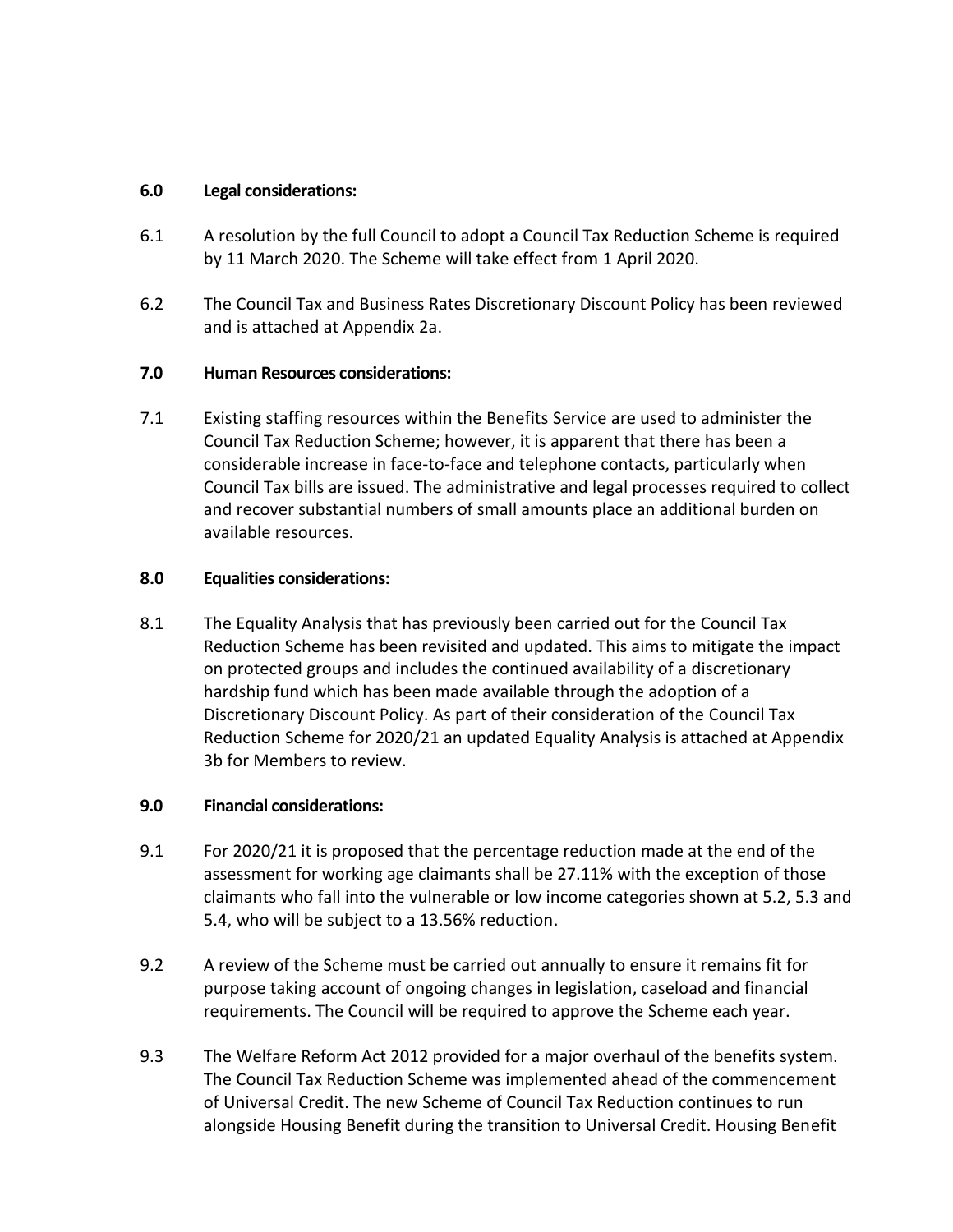## **6.0 Legal considerations:**

- 6.1 A resolution by the full Council to adopt a Council Tax Reduction Scheme is required by 11 March 2020. The Scheme will take effect from 1 April 2020.
- 6.2 The Council Tax and Business Rates Discretionary Discount Policy has been reviewed and is attached at Appendix 2a.

## **7.0 Human Resources considerations:**

7.1 Existing staffing resources within the Benefits Service are used to administer the Council Tax Reduction Scheme; however, it is apparent that there has been a considerable increase in face-to-face and telephone contacts, particularly when Council Tax bills are issued. The administrative and legal processes required to collect and recover substantial numbers of small amounts place an additional burden on available resources.

## **8.0 Equalities considerations:**

8.1 The Equality Analysis that has previously been carried out for the Council Tax Reduction Scheme has been revisited and updated. This aims to mitigate the impact on protected groups and includes the continued availability of a discretionary hardship fund which has been made available through the adoption of a Discretionary Discount Policy. As part of their consideration of the Council Tax Reduction Scheme for 2020/21 an updated Equality Analysis is attached at Appendix 3b for Members to review.

## **9.0 Financial considerations:**

- 9.1 For 2020/21 it is proposed that the percentage reduction made at the end of the assessment for working age claimants shall be 27.11% with the exception of those claimants who fall into the vulnerable or low income categories shown at 5.2, 5.3 and 5.4, who will be subject to a 13.56% reduction.
- 9.2 A review of the Scheme must be carried out annually to ensure it remains fit for purpose taking account of ongoing changes in legislation, caseload and financial requirements. The Council will be required to approve the Scheme each year.
- 9.3 The Welfare Reform Act 2012 provided for a major overhaul of the benefits system. The Council Tax Reduction Scheme was implemented ahead of the commencement of Universal Credit. The new Scheme of Council Tax Reduction continues to run alongside Housing Benefit during the transition to Universal Credit. Housing Benefit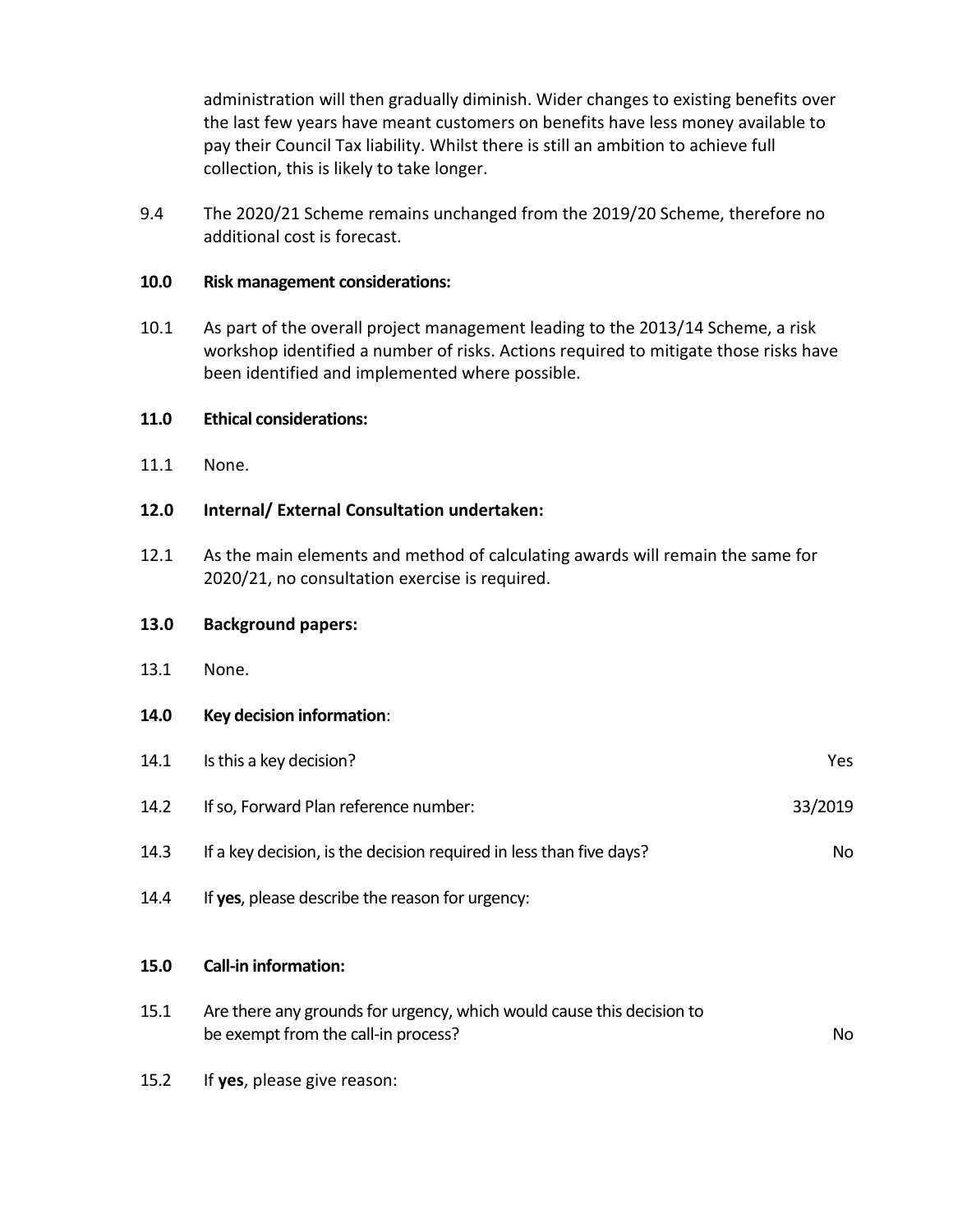administration will then gradually diminish. Wider changes to existing benefits over the last few years have meant customers on benefits have less money available to pay their Council Tax liability. Whilst there is still an ambition to achieve full collection, this is likely to take longer.

9.4 The 2020/21 Scheme remains unchanged from the 2019/20 Scheme, therefore no additional cost is forecast.

#### **10.0 Risk management considerations:**

10.1 As part of the overall project management leading to the 2013/14 Scheme, a risk workshop identified a number of risks. Actions required to mitigate those risks have been identified and implemented where possible.

#### **11.0 Ethical considerations:**

11.1 None.

## **12.0 Internal/ External Consultation undertaken:**

12.1 As the main elements and method of calculating awards will remain the same for 2020/21, no consultation exercise is required.

#### **13.0 Background papers:**

13.1 None.

#### **14.0 Key decision information**:

| 15.0 | <b>Call-in information:</b>                                         |         |
|------|---------------------------------------------------------------------|---------|
| 14.4 | If yes, please describe the reason for urgency:                     |         |
| 14.3 | If a key decision, is the decision required in less than five days? | No      |
| 14.2 | If so, Forward Plan reference number:                               | 33/2019 |
| 14.1 | Is this a key decision?                                             | Yes     |

- 15.1 Are there any grounds for urgency, which would cause this decision to be exempt from the call-in process? No
- 15.2 If **yes**, please give reason: